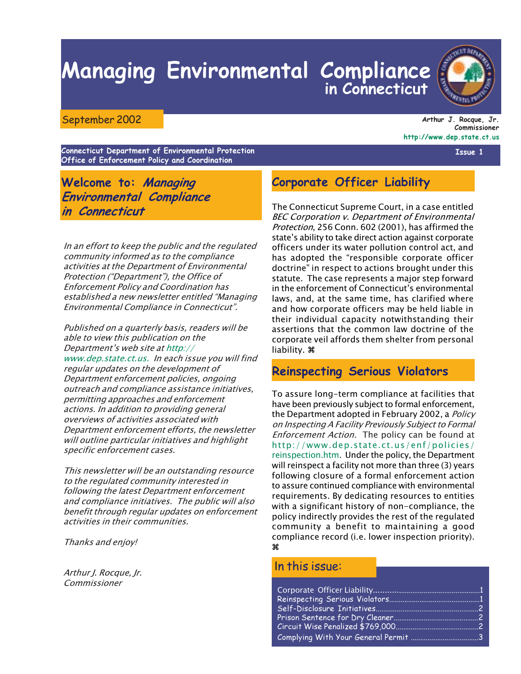# **Managing Environmental Compliance** in Connecticut



Arthur J. Rocque, Jr. Commissioner http://www.dep.state.ct.us

Connecticut Department of Environmental Protection Office of Enforcement Policy and Coordination

Welcome to: Managing **Environmental Compliance** in Connecticut

In an effort to keep the public and the regulated community informed as to the compliance activities at the Department of Environmental Protection ("Department"), the Office of **Enforcement Policy and Coordination has** established a new newsletter entitled "Managing Environmental Compliance in Connecticut".

Published on a quarterly basis, readers will be able to view this publication on the Department's web site at http:// www.dep.state.ct.us. In each issue you will find regular updates on the development of Department enforcement policies, ongoing outreach and compliance assistance initiatives, permitting approaches and enforcement actions. In addition to providing general overviews of activities associated with Department enforcement efforts, the newsletter will outline particular initiatives and highlight specific enforcement cases.

This newsletter will be an outstanding resource to the regulated community interested in following the latest Department enforcement and compliance initiatives. The public will also benefit through regular updates on enforcement activities in their communities.

Thanks and enjoy!

Arthur J. Rocque, Jr. Commissioner

# **Corporate Officer Liability**

The Connecticut Supreme Court, in a case entitled **BEC Corporation v. Department of Environmental** Protection, 256 Conn. 602 (2001), has affirmed the state's ability to take direct action against corporate officers under its water pollution control act, and has adopted the "responsible corporate officer doctrine" in respect to actions brought under this statute. The case represents a major step forward in the enforcement of Connecticut's environmental laws, and, at the same time, has clarified where and how corporate officers may be held liable in their individual capacity notwithstanding their assertions that the common law doctrine of the corporate veil affords them shelter from personal liability.  $\mathcal X$ 

### **Reinspecting Serious Violators**

To assure long-term compliance at facilities that have been previously subject to formal enforcement, the Department adopted in February 2002, a *Policy* on Inspecting A Facility Previously Subject to Formal Enforcement Action. The policy can be found at http://www.dep.state.ct.us/enf/policies/ reinspection.htm. Under the policy, the Department will reinspect a facility not more than three (3) years following closure of a formal enforcement action to assure continued compliance with environmental requirements. By dedicating resources to entities with a significant history of non-compliance, the policy indirectly provides the rest of the regulated community a benefit to maintaining a good compliance record (i.e. lower inspection priority).  $\mathbf{P}$ 

#### In this issue:



Issue 1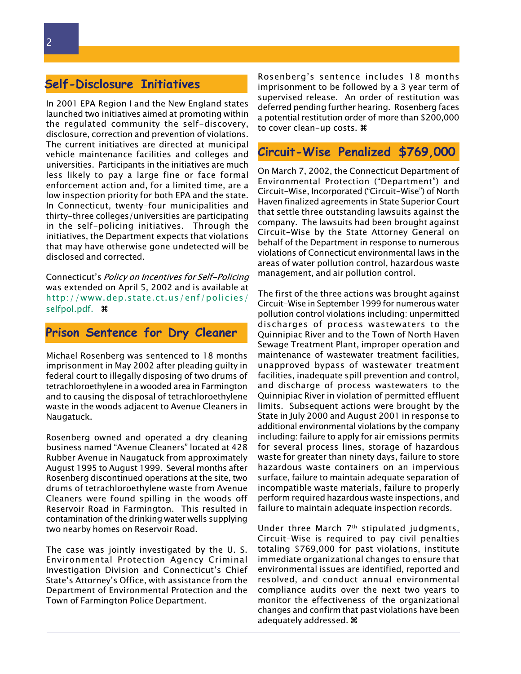# **Self-Disclosure Initiatives**

In 2001 EPA Region I and the New England states launched two initiatives aimed at promoting within the regulated community the self-discovery, disclosure, correction and prevention of violations. The current initiatives are directed at municipal vehicle maintenance facilities and colleges and universities. Participants in the initiatives are much less likely to pay a large fine or face formal enforcement action and, for a limited time, are a low inspection priority for both EPA and the state. In Connecticut, twenty-four municipalities and thirty-three colleges/universities are participating in the self-policing initiatives. Through the initiatives, the Department expects that violations that may have otherwise gone undetected will be disclosed and corrected.

Connecticut's Policy on Incentives for Self-Policing was extended on April 5, 2002 and is available at http://www.dep.state.ct.us/enf/policies/ selfpol.pdf. #

#### Prison Sentence for Dry Cleaner

Michael Rosenberg was sentenced to 18 months imprisonment in May 2002 after pleading quilty in federal court to illegally disposing of two drums of tetrachloroethylene in a wooded area in Farmington and to causing the disposal of tetrachloroethylene waste in the woods adjacent to Avenue Cleaners in Naugatuck.

Rosenberg owned and operated a dry cleaning business named "Avenue Cleaners" located at 428 Rubber Avenue in Naugatuck from approximately August 1995 to August 1999. Several months after Rosenberg discontinued operations at the site, two drums of tetrachloroethylene waste from Avenue Cleaners were found spilling in the woods off Reservoir Road in Farmington. This resulted in contamination of the drinking water wells supplying two nearby homes on Reservoir Road.

The case was jointly investigated by the U.S. Environmental Protection Agency Criminal Investigation Division and Connecticut's Chief State's Attorney's Office, with assistance from the Department of Environmental Protection and the Town of Farmington Police Department.

Rosenberg's sentence includes 18 months imprisonment to be followed by a 3 year term of supervised release. An order of restitution was deferred pending further hearing. Rosenberg faces a potential restitution order of more than \$200,000 to cover clean-up costs. 第

# Circuit-Wise Penalized \$769,000

On March 7, 2002, the Connecticut Department of Environmental Protection ("Department") and Circuit-Wise, Incorporated ("Circuit-Wise") of North Haven finalized agreements in State Superior Court that settle three outstanding lawsuits against the company. The lawsuits had been brought against Circuit-Wise by the State Attorney General on behalf of the Department in response to numerous violations of Connecticut environmental laws in the areas of water pollution control, hazardous waste management, and air pollution control.

The first of the three actions was brought against Circuit-Wise in September 1999 for numerous water pollution control violations including: unpermitted discharges of process wastewaters to the Quinnipiac River and to the Town of North Haven Sewage Treatment Plant, improper operation and maintenance of wastewater treatment facilities, unapproved bypass of wastewater treatment facilities, inadequate spill prevention and control, and discharge of process wastewaters to the Quinnipiac River in violation of permitted effluent limits. Subsequent actions were brought by the State in July 2000 and August 2001 in response to additional environmental violations by the company including: failure to apply for air emissions permits for several process lines, storage of hazardous waste for greater than ninety days, failure to store hazardous waste containers on an impervious surface, failure to maintain adequate separation of incompatible waste materials, failure to properly perform required hazardous waste inspections, and failure to maintain adequate inspection records.

Under three March 7<sup>th</sup> stipulated judgments, Circuit-Wise is required to pay civil penalties totaling \$769,000 for past violations, institute immediate organizational changes to ensure that environmental issues are identified, reported and resolved, and conduct annual environmental compliance audits over the next two years to monitor the effectiveness of the organizational changes and confirm that past violations have been adequately addressed.  $\mathcal$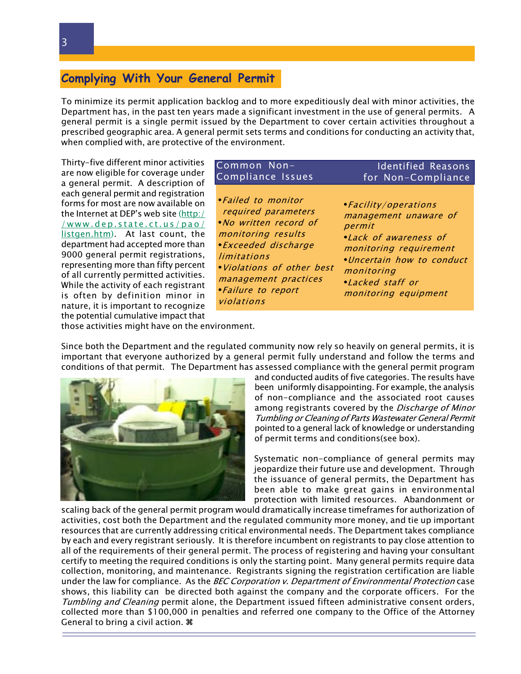# Complying With Your General Permit

To minimize its permit application backlog and to more expeditiously deal with minor activities, the Department has, in the past ten years made a significant investment in the use of general permits. A general permit is a single permit issued by the Department to cover certain activities throughout a prescribed geographic area. A general permit sets terms and conditions for conducting an activity that, when complied with, are protective of the environment.

Thirty-five different minor activities are now eligible for coverage under a general permit. A description of each general permit and registration forms for most are now available on the Internet at DEP's web site (http:/ /www.dep.state.ct.us/pao/ listgen.htm). At last count, the department had accepted more than 9000 general permit registrations, representing more than fifty percent of all currently permitted activities. While the activity of each registrant is often by definition minor in nature, it is important to recognize the potential cumulative impact that

#### Common Non-**Identified Reasons** Compliance Issues for Non-Compliance

• Failed to monitor required parameters *No written record of* monitoring results • Exceeded discharge limitations . Violations of other best management practices *·Failure to report* violations

• Facility/operations management unaware of permit • Lack of awareness of monitoring requirement .Uncertain how to conduct monitoring •Lacked staff or monitoring equipment

those activities might have on the environment.

Since both the Department and the regulated community now rely so heavily on general permits, it is important that everyone authorized by a general permit fully understand and follow the terms and conditions of that permit. The Department has assessed compliance with the general permit program



and conducted audits of five categories. The results have been uniformly disappointing. For example, the analysis of non-compliance and the associated root causes among registrants covered by the Discharge of Minor Tumbling or Cleaning of Parts Wastewater General Permit pointed to a general lack of knowledge or understanding of permit terms and conditions (see box).

Systematic non-compliance of general permits may jeopardize their future use and development. Through the issuance of general permits, the Department has been able to make great gains in environmental protection with limited resources. Abandonment or

scaling back of the general permit program would dramatically increase timeframes for authorization of activities, cost both the Department and the regulated community more money, and tie up important resources that are currently addressing critical environmental needs. The Department takes compliance by each and every registrant seriously. It is therefore incumbent on registrants to pay close attention to all of the requirements of their general permit. The process of registering and having your consultant certify to meeting the required conditions is only the starting point. Many general permits require data collection, monitoring, and maintenance. Registrants signing the registration certification are liable under the law for compliance. As the *BEC Corporation v. Department of Environmental Protection* case shows, this liability can be directed both against the company and the corporate officers. For the Tumbling and Cleaning permit alone, the Department issued fifteen administrative consent orders, collected more than \$100,000 in penalties and referred one company to the Office of the Attorney General to bring a civil action.  $\Re$